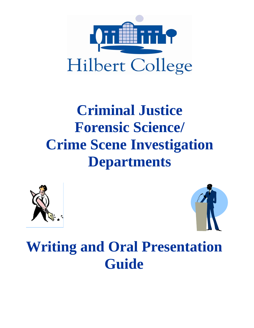

# **Criminal Justice Forensic Science/ Crime Scene Investigation Departments**





# **Writing and Oral Presentation Guide**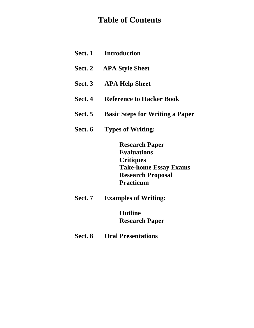# **Table of Contents**

- **Sect. 1 Introduction**
- **Sect. 2 APA Style Sheet**
- **Sect. 3 APA Help Sheet**
- **Sect. 4 Reference to Hacker Book**
- **Sect. 5 Basic Steps for Writing a Paper**
- **Sect. 6 Types of Writing:**

 **Research Paper Evaluations Critiques Take-home Essay Exams Research Proposal Practicum** 

**Sect. 7 Examples of Writing:** 

 **Outline Research Paper** 

**Sect. 8 Oral Presentations**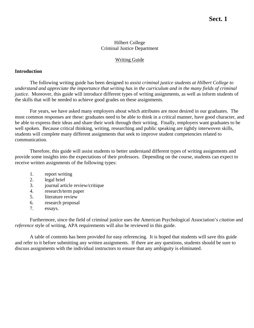#### Hilbert College Criminal Justice Department

#### Writing Guide

#### **Introduction**

 The following writing guide has been designed to *assist criminal justice students at Hilbert College to understand and appreciate the importance that writing has in the curriculum and in the many fields of criminal justice.* Moreover, this guide will introduce different types of writing assignments, as well as inform students of the skills that will be needed to achieve good grades on these assignments.

 For years, we have asked many employers about which attributes are most desired in our graduates. The most common responses are these: graduates need to be able to think in a critical manner, have good character, and be able to express their ideas and share their work through their writing. Finally, employers want graduates to be well spoken. Because critical thinking, writing, researching and public speaking are tightly interwoven skills, students will complete many different assignments that seek to improve student competencies related to communication.

 Therefore, this guide will assist students to better understand different types of writing assignments and provide some insights into the expectations of their professors. Depending on the course, students can expect to receive written assignments of the following types:

- 1. report writing
- 2. legal brief
- 3. journal article review/critique
- 4. research/term paper
- 5. literature review
- 6. research proposal
- 7. essays.

Furthermore, since the field of criminal justice uses the American Psychological Association's *citation* and *reference* style of writing, APA requirements will also be reviewed in this guide.

A table of contents has been provided for easy referencing. It is hoped that students will save this guide and refer to it before submitting any written assignments. If there are any questions, students should be sure to discuss assignments with the individual instructors to ensure that any ambiguity is eliminated.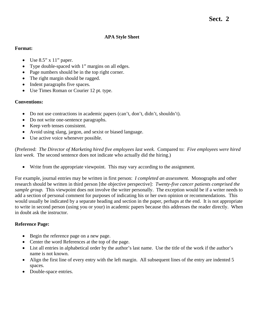#### **APA Style Sheet**

#### **Format:**

- Use  $8.5$ " x  $11$ " paper.
- Type double-spaced with 1" margins on all edges.
- Page numbers should be in the top right corner.
- The right margin should be ragged.
- Indent paragraphs five spaces.
- Use Times Roman or Courier 12 pt. type.

## **Conventions:**

- Do not use contractions in academic papers (can't, don't, didn't, shouldn't).
- Do not write one-sentence paragraphs.
- Keep verb tenses consistent.
- Avoid using slang, jargon, and sexist or biased language.
- Use active voice whenever possible.

(Preferred: *The Director of Marketing hired five employees last week.* Compared to: *Five employees were hired last week.* The second sentence does not indicate who actually did the hiring.)

• Write from the appropriate viewpoint. This may vary according to the assignment.

For example, journal entries may be written in first person: *I completed an assessment.* Monographs and other research should be written in third person [the objective perspective]: *Twenty-five cancer patients comprised the sample group.* This viewpoint does not involve the writer personally. The exception would be if a writer needs to add a section of personal comment for purposes of indicating his or her own opinion or recommendations. This would usually be indicated by a separate heading and section in the paper, perhaps at the end. It is not appropriate to write in second person (using you or your) in academic papers because this addresses the reader directly. When in doubt ask the instructor.

### **Reference Page:**

- Begin the reference page on a new page.
- Center the word References at the top of the page.
- List all entries in alphabetical order by the author's last name. Use the title of the work if the author's name is not known.
- Align the first line of every entry with the left margin. All subsequent lines of the entry are indented 5 spaces.
- Double-space entries.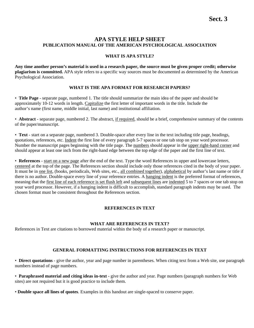#### **APA STYLE HELP SHEET PUBLICATION MANUAL OF THE AMERICAN PSYCHOLOGICAL ASSOCIATION**

#### **WHAT IS APA STYLE?**

**Any time another person's material is used in a research paper, the source must be given proper credit; otherwise plagiarism is committed.** APA style refers to a specific way sources must be documented as determined by the American Psychological Association.

#### **WHAT IS THE APA FORMAT FOR RESEARCH PAPERS?**

• **Title Page** - separate page, numbered 1. The title should summarize the main idea of the paper and should be approximately 10-12 words in length. Capitalize the first letter of important words in the title. Include the author's name (first name, middle initial, last name) and institutional affiliation.

• **Abstract** - separate page, numbered 2. The abstract, if required, should be a brief, comprehensive summary of the contents of the paper/manuscript.

• **Text** - start on a separate page, numbered 3. Double-space after every line in the text including title page, headings, quotations, references, etc. Indent the first line of every paragraph 5-7 spaces or one tab stop on your word processor. Number the manuscript pages beginning with the title page. The numbers should appear in the upper right-hand corner and should appear at least one inch from the right-hand edge between the top edge of the paper and the first line of text.

• **References** - start on a new page after the end of the text. Type the word References in upper and lowercase letters, centered at the top of the page. The References section should include only those references cited in the body of your paper. It must be in one list, (books, periodicals, Web sites, etc., all combined together), alphabetical by author's last name or title if there is no author. Double-space every line of your reference entries. A hanging indent is the preferred format of references, meaning that the first line of each reference is set flush left and subsequent lines are indented 5 to 7 spaces or one tab stop on your word processor. However, if a hanging indent is difficult to accomplish, standard paragraph indents may be used. The chosen format must be consistent throughout the References section.

#### **REFERENCES IN TEXT**

#### **WHAT ARE REFERENCES IN TEXT?**

References in Text are citations to borrowed material within the body of a research paper or manuscript.

#### **GENERAL FORMATTING INSTRUCTIONS FOR REFERENCES IN TEXT**

• **Direct quotations** - give the author, year and page number in parentheses. When citing text from a Web site, use paragraph numbers instead of page numbers.

• **Paraphrased material and citing ideas in-text** - give the author and year. Page numbers (paragraph numbers for Web sites) are not required but it is good practice to include them.

• **Double space all lines of quotes**. Examples in this handout are single-spaced to conserve paper.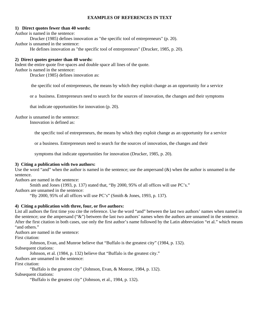#### **EXAMPLES OF REFERENCES IN TEXT**

#### **1) Direct quotes fewer than 40 words:**

Author is named in the sentence:

Drucker (1985) defines innovation as "the specific tool of entrepreneurs" (p. 20).

Author is unnamed in the sentence:

He defines innovation as "the specific tool of entrepreneurs" (Drucker, 1985, p. 20).

#### **2) Direct quotes greater than 40 words:**

Indent the entire quote five spaces and double space all lines of the quote.

Author is named in the sentence:

Drucker (1985) defines innovation as:

the specific tool of entrepreneurs, the means by which they exploit change as an opportunity for a service

or a business. Entrepreneurs need to search for the sources of innovation, the changes and their symptoms

that indicate opportunities for innovation (p. 20).

Author is unnamed in the sentence:

Innovation is defined as:

the specific tool of entrepreneurs, the means by which they exploit change as an opportunity for a service

or a business. Entrepreneurs need to search for the sources of innovation, the changes and their

symptoms that indicate opportunities for innovation (Drucker, 1985, p. 20).

#### **3) Citing a publication with two authors:**

Use the word "and" when the author is named in the sentence; use the ampersand  $(x)$  when the author is unnamed in the sentence.

Authors are named in the sentence:

Smith and Jones (1993, p. 137) stated that, "By 2000, 95% of all offices will use PC's."

Authors are unnamed in the sentence:

"By 2000, 95% of all offices will use PC's" (Smith & Jones, 1993, p. 137).

#### **4) Citing a publication with three, four, or five authors:**

List all authors the first time you cite the reference. Use the word "and" between the last two authors' names when named in the sentence; use the ampersand ("&") between the last two authors' names when the authors are unnamed in the sentence. After the first citation in both cases, use only the first author's name followed by the Latin abbreviation "et al." which means "and others."

Authors are named in the sentence:

First citation:

Johnson, Evan, and Munroe believe that "Buffalo is the greatest city" (1984, p. 132).

Subsequent citations:

Johnson, et al. (1984, p. 132) believe that "Buffalo is the greatest city." Authors are unnamed in the sentence:

First citation:

"Buffalo is the greatest city" (Johnson, Evan, & Monroe, 1984, p. 132). Subsequent citations:

"Buffalo is the greatest city" (Johnson, et al., 1984, p. 132).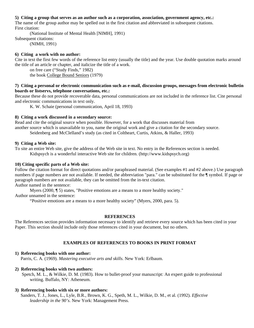#### **5) Citing a group that serves as an author such as a corporation, association, government agency, etc.:**

The name of the group author may be spelled out in the first citation and abbreviated in subsequent citations. First citation:

(National Institute of Mental Health [NIMH], 1991)

Subsequent citations:

(NIMH, 1991)

#### **6) Citing a work with no author:**

Cite in text the first few words of the reference list entry (usually the title) and the year. Use double quotation marks around the title of an article or chapter, and italicize the title of a work.

on free care ("Study Finds," 1982)

the book College Bound Seniors (1979)

#### **7) Citing a personal or electronic communication such as e-mail, discussion groups, messages from electronic bulletin boards or listservs, telephone conversations, etc.:**

Because these do not provide recoverable data, personal communications are not included in the reference list. Cite personal and electronic communications in text only.

K. W. Schaie (personal communication, April 18, 1993)

#### **8) Citing a work discussed in a secondary source:**

Read and cite the original source when possible. However, for a work that discusses material from another source which is unavailable to you, name the original work and give a citation for the secondary source. Seidenberg and McClelland's study (as cited in Coltheart, Curtis, Atkins, & Haller, 1993)

#### **9) Citing a Web site:**

To site an entire Web site, give the address of the Web site in text. No entry in the References section is needed. Kidspsych is a wonderful interactive Web site for children. (http://www.kidspsych.org)

#### **10) Citing specific parts of a Web site:**

Follow the citation format for direct quotations and/or paraphrased material. (See examples #1 and #2 above.) Use paragraph numbers if page numbers are not available. If needed, the abbreviation "para." can be substituted for the ¶ symbol. If page or paragraph numbers are not available, they can be omitted from the in-text citation. Author named in the sentence:

Myers (2000, ¶ 5) states, "Positive emotions are a means to a more healthy society."

Author unnamed in the sentence:

"Positive emotions are a means to a more healthy society" (Myers, 2000, para. 5).

#### **REFERENCES**

The References section provides information necessary to identify and retrieve every source which has been cited in your Paper. This section should include only those references cited in your document, but no others.

#### **EXAMPLES OF REFERENCES TO BOOKS IN PRINT FORMAT**

#### **1) Referencing books with one author:**

Parris, C. A. (1969). *Mastering executive arts and skills*. New York: Erlbaum.

#### **2) Referencing books with two authors:**

Spetch, M. L., & Wilkie, D. M. (1983). How to bullet-proof your manuscript: An expert guide to professional writing. Buffalo, NY: Atheneum.

#### **3) Referencing books with six or more authors:**

 Sanders, T. J., Jones, L., Lyle, B.R., Brown, K. G., Speth, M. L., Wilkie, D. M., et al. (1992). *Effective leadership in the 90's*. New York: Management Press.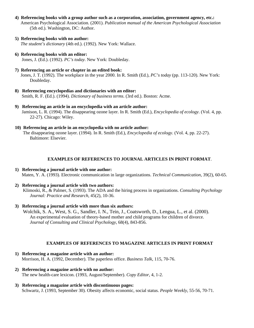**4) Referencing books with a group author such as a corporation, association, government agency, etc.:**  American Psychological Association. (2001). *Publication manual of the American Psychological Association* (5th ed.). Washington, DC: Author.

#### **5) Referencing books with no author:**

*The student's dictionary* (4th ed.). (1992). New York: Wallace.

- **6) Referencing books with an editor:**  Jones, J. (Ed.). (1992). *PC's today*. New York: Doubleday.
- **7) Referencing an article or chapter in an edited book:**

 Jones, J. T. (1992). The workplace in the year 2000. In R. Smith (Ed.), *PC's today* (pp. 113-120). New York: Doubleday.

- **8) Referencing encyclopedias and dictionaries with an editor:**  Smith, R. F. (Ed.). (1994). *Dictionary of business terms*. (3rd ed.). Boston: Acme.
- **9) Referencing an article in an encyclopedia with an article author:**  Jamison, L. R. (1994). The disappearing ozone layer. In R. Smith (Ed.), *Encyclopedia of ecology*. (Vol. 4, pp. 22-27). Chicago: Wiley.
- **10) Referencing an article in an encyclopedia with no article author:**  The disappearing ozone layer. (1994). In R. Smith (Ed.), *Encyclopedia of ecology.* (Vol. 4, pp. 22-27). Baltimore: Elsevier.

#### **EXAMPLES OF REFERENCES TO JOURNAL ARTICLES IN PRINT FORMAT**.

**1) Referencing a journal article with one author:**  Maten, Y. A. (1993). Electronic communication in large organizations. *Technical Communication*, 39(2), 60-65.

#### **2) Referencing a journal article with two authors:**

 Klimoski, R., & Palmer, S. (1993). The ADA and the hiring process in organizations. *Consulting Psychology Journal: Practice and Research*, 45(2), 10-36.

#### **3) Referencing a journal article with more than six authors:**

Wolchik, S. A., West, S. G., Sandler, I. N., Tein, J., Coatsworth, D., Lengua, L., et al. (2000). An experimental evaluation of theory-based mother and child programs for children of divorce. *Journal of Consulting and Clinical Psychology*, 68(4), 843-856.

#### **EXAMPLES OF REFERENCES TO MAGAZINE ARTICLES IN PRINT FORMAT**

- **1) Referencing a magazine article with an author:**  Morrison, H. A. (1992, December). The paperless office. *Business Talk*, 115, 70-76.
- **2) Referencing a magazine article with no author:**  The new health-care lexicon. (1993, August/September). *Copy Editor*, 4, 1-2.
- **3) Referencing a magazine article with discontinuous pages:**  Schwartz, J. (1993, September 30). Obesity affects economic, social status. *People Weekly*, 55-56, 70-71.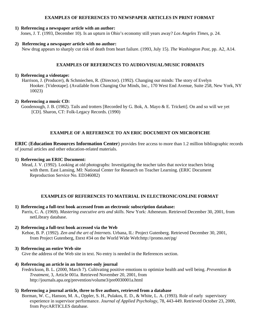#### **EXAMPLES OF REFERENCES TO NEWSPAPER ARTICLES IN PRINT FORMAT**

#### **1) Referencing a newspaper article with an author:**  Jones, J. T. (1993, December 10). Is an upturn in Ohio's economy still years away? *Los Angeles Times*, p. 24.

**2) Referencing a newspaper article with no author:**  New drug appears to sharply cut risk of death from heart failure. (1993, July 15). *The Washington Post*, pp. A2, A14.

#### **EXAMPLES OF REFERENCES TO AUDIO/VISUAL/MUSIC FORMATS**

#### **1) Referencing a videotape:**

 Harrison, J. (Producer), & Schmiechen, R. (Director). (1992). Changing our minds: The story of Evelyn Hooker. [Videotape]. (Available from Changing Our Minds, Inc., 170 West End Avenue, Suite 258, New York, NY 10023)

#### **2) Referencing a music CD:**

Goodenough, J. B. (1982). Tails and trotters [Recorded by G. Bok, A. Mayo & E. Trickett]. On and so will we yet [CD]. Sharon, CT: Folk-Legacy Records. (1990)

#### **EXAMPLE OF A REFERENCE TO AN ERIC DOCUMENT ON MICROFICHE**

**ERIC** (**Education Resources Information Center**) provides free access to more than 1.2 million bibliographic records of journal articles and other education-related materials.

#### **1) Referencing an ERIC Document:**

 Mead, J. V. (1992). Looking at old photographs: Investigating the teacher tales that novice teachers bring with them. East Lansing, MI: National Center for Research on Teacher Learning. (ERIC Document Reproduction Service No. ED346082)

#### **EXAMPLES OF REFERENCES TO MATERIAL IN ELECTRONIC/ONLINE FORMAT**

#### **1) Referencing a full-text book accessed from an electronic subscription database:**

 Parris, C. A. (1969). *Mastering executive arts and skills*. New York: Atheneum. Retrieved December 30, 2001, from netLibrary database.

#### **2) Referencing a full-text book accessed via the Web**

 Kehoe, B. P. (1992). *Zen and the art of Internets*. Urbana, IL: Project Gutenberg. Retrieved December 30, 2001, from Project Gutenberg, Etext #34 on the World Wide Web:http://promo.net/pg/

#### **3) Referencing an entire Web site**

Give the address of the Web site in text. No entry is needed in the References section.

#### **4) Referencing an article in an Internet-only journal**

 Fredrickson, B. L. (2000, March 7). Cultivating positive emotions to optimize health and well being. *Prevention & Treatment*, 3, Article 001a. Retrieved November 20, 2001, from http://journals.apa.org/prevention/volume3/pre0030001a.html

#### **5) Referencing a journal article, three to five authors, retrieved from a database**

 Borman, W. C., Hanson, M. A., Oppler, S. H., Pulakos, E. D., & White, L. A. (1993). Role of early supervisory experience in supervisor performance. *Journal of Applied Psychology*, 78, 443-449. Retrieved October 23, 2000, from PsycARTICLES database.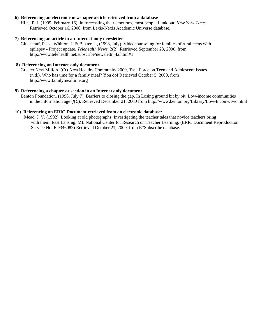#### **6) Referencing an electronic newspaper article retrieved from a database**

 Hilts, P. J. (1999, February 16). In forecasting their emotions, most people flunk out. *New York Times.*  Retrieved October 16, 2000, from Lexis-Nexis Academic Universe database.

#### **7) Referencing an article in an Internet-only newsletter**

 Glueckauf, R. L., Whitton, J. & Baxter, J., (1998, July). Videocounseling for families of rural teens with epilepsy - Project update. *Telehealth News*, 2(2). Retrieved September 23, 2000, from http://www.telehealth.net/subscribe/newslettr\_4a.html#1

#### **8) Referencing an Internet-only document**

 Greater New Milford (Ct) Area Healthy Community 2000, Task Force on Teen and Adolescent Issues. (n.d.). Who has time for a family meal? You do! Retrieved October 5, 2000, from http://www.familymealtime.org

#### **9) Referencing a chapter or section in an Internet only document**

 Benton Foundation. (1998, July 7). Barriers to closing the gap. In Losing ground bit by bit: Low-income communities in the information age (¶ 5). Retrieved December 21, 2000 from http://www.benton.org/Library/Low-Income/two.html

#### **10) Referencing an ERIC Document retrieved from an electronic database:**

 Mead, J. V. (1992). Looking at old photographs: Investigating the teacher tales that novice teachers bring with them. East Lansing, MI: National Center for Research on Teacher Learning. (ERIC Document Reproduction Service No. ED346082) Retrieved October 21, 2000, from E\*Subscribe database.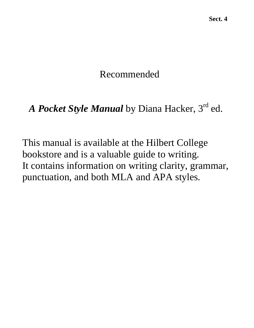**Sect. 4** 

# Recommended

# *A Pocket Style Manual* by Diana Hacker, 3rd ed.

 This manual is available at the Hilbert College bookstore and is a valuable guide to writing. It contains information on writing clarity, grammar, punctuation, and both MLA and APA styles.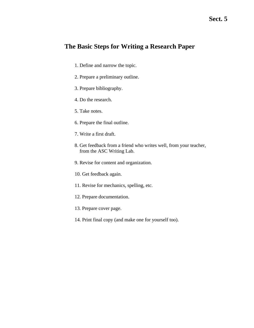# **The Basic Steps for Writing a Research Paper**

- 1. Define and narrow the topic.
- 2. Prepare a preliminary outline.
- 3. Prepare bibliography.
- 4. Do the research.
- 5. Take notes.
- 6. Prepare the final outline.
- 7. Write a first draft.
- 8. Get feedback from a friend who writes well, from your teacher, from the ASC Writing Lab.
- 9. Revise for content and organization.
- 10. Get feedback again.
- 11. Revise for mechanics, spelling, etc.
- 12. Prepare documentation.
- 13. Prepare cover page.
- 14. Print final copy (and make one for yourself too).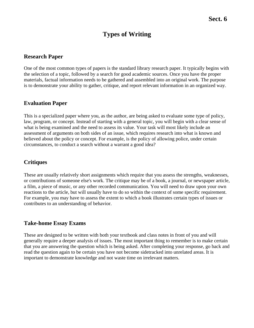# **Types of Writing**

# **Research Paper**

One of the most common types of papers is the standard library research paper. It typically begins with the selection of a topic, followed by a search for good academic sources. Once you have the proper materials, factual information needs to be gathered and assembled into an original work. The purpose is to demonstrate your ability to gather, critique, and report relevant information in an organized way.

# **Evaluation Paper**

This is a specialized paper where you, as the author, are being asked to evaluate some type of policy, law, program, or concept. Instead of starting with a general topic, you will begin with a clear sense of what is being examined and the need to assess its value. Your task will most likely include an assessment of arguments on both sides of an issue, which requires research into what is known and believed about the policy or concept. For example, is the policy of allowing police, under certain circumstances, to conduct a search without a warrant a good idea?

# **Critiques**

These are usually relatively short assignments which require that you assess the strengths, weaknesses, or contributions of someone else's work. The critique may be of a book, a journal, or newspaper article, a film, a piece of music, or any other recorded communication. You will need to draw upon your own reactions to the article, but will usually have to do so within the context of some specific requirement. For example, you may have to assess the extent to which a book illustrates certain types of issues or contributes to an understanding of behavior.

### **Take-home Essay Exams**

These are designed to be written with both your textbook and class notes in front of you and will generally require a deeper analysis of issues. The most important thing to remember is to make certain that you are answering the question which is being asked. After completing your response, go back and read the question again to be certain you have not become sidetracked into unrelated areas. It is important to demonstrate knowledge and not waste time on irrelevant matters.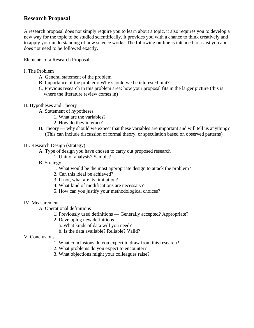# **Research Proposal**

A research proposal does not simply require you to learn about a topic, it also requires you to develop a new way for the topic to be studied scientifically. It provides you with a chance to think creatively and to apply your understanding of how science works. The following outline is intended to assist you and does not need to be followed exactly.

Elements of a Research Proposal:

- I. The Problem
	- A. General statement of the problem
	- B. Importance of the problem: Why should we be interested in it?
	- C. Previous research in this problem area: how your proposal fits in the larger picture (this is where the literature review comes in)
- II. Hypotheses and Theory
	- A. Statement of hypotheses
		- 1. What are the variables?
		- 2. How do they interact?
	- B. Theory why should we expect that these variables are important and will tell us anything? (This can include discussion of formal theory, or speculation based on observed patterns)

#### III. Research Design (strategy)

A. Type of design you have chosen to carry out proposed research

- 1. Unit of analysis? Sample?
- B. Strategy
	- 1. What would be the most appropriate design to attack the problem?
	- 2. Can this ideal be achieved?
	- 3. If not, what are its limitation?
	- 4. What kind of modifications are necessary?
	- 5. How can you justify your methodological choices?

#### IV. Measurement

- A. Operational definitions
	- 1. Previously used definitions Generally accepted? Appropriate?
	- 2. Developing new definitions
		- a. What kinds of data will you need?
		- b. Is the data available? Reliable? Valid?
- V. Conclusions
	- 1. What conclusions do you expect to draw from this research?
	- 2. What problems do you expect to encounter?
	- 3. What objections might your colleagues raise?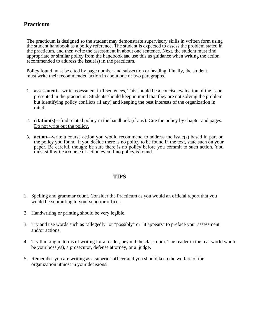# **Practicum**

The practicum is designed so the student may demonstrate supervisory skills in written form using the student handbook as a policy reference. The student is expected to assess the problem stated in the practicum, and then write the assessment in about one sentence. Next, the student must find appropriate or similar policy from the handbook and use this as guidance when writing the action recommended to address the issue(s) in the practicum.

Policy found must be cited by page number and subsection or heading. Finally, the student must write their recommended action in about one or two paragraphs.

- 1. **assessment-**--write assessment in 1 sentences, This should be a concise evaluation of the issue presented in the practicum. Students should keep in mind that they are not solving the problem but identifying policy conflicts (if any) and keeping the best interests of the organization in mind.
- 2. **citation(s)---**find related policy in the handbook (if any). Cite the policy by chapter and pages. Do not write out the policy.
- 3. **action**---write a course action you would recommend to address the issue(s) based in part on the policy you found. If you decide there is no policy to be found in the text, state such on your paper. Be careful, though; be sure there is no policy before you commit to such action. You must still write a course of action even if no policy is found.

### **TIPS**

- 1. Spelling and grammar count. Consider the Practicum as you would an official report that you would be submitting to your superior officer.
- 2. Handwriting or printing should be very legible.
- 3. Try and use words such as "allegedly" or "possibly" or "it appears" to preface your assessment and/or actions.
- 4. Try thinking in terms of writing for a reader, beyond the classroom. The reader in the real world would be your boss(es), a prosecutor, defense attorney, or a judge.
- 5. Remember you are writing as a superior officer and you should keep the welfare of the organization utmost in your decisions.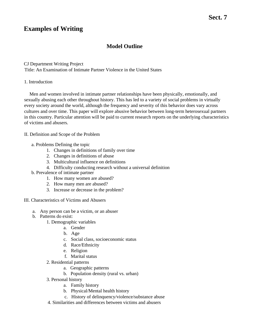# **Examples of Writing**

# **Model Outline**

CJ Department Writing Project Title: An Examination of Intimate Partner Violence in the United States

1. Introduction

Men and women involved in intimate partner relationships have been physically, emotionally, and sexually abusing each other throughout history. This has led to a variety of social problems in virtually every society around the world, although the frequency and severity of this behavior does vary across cultures and over time. This paper will explore abusive behavior between long-term heterosexual partners in this country. Particular attention will be paid to current research reports on the underlying characteristics of victims and abusers.

II. Definition and Scope of the Problem

- a. Problems Defining the topic
	- 1. Changes in definitions of family over time
	- 2. Changes in definitions of abuse
	- 3. Multicultural influence on definitions
	- 4. Difficulty conducting research without a universal definition
- b. Prevalence of intimate partner
	- 1. How many women are abused?
	- 2. How many men are abused?
	- 3. Increase or decrease in the problem?
- III. Characteristics of Victims and Abusers
	- a. Any person can be a victim, or an abuser
	- b. Patterns do exist:
		- 1. Demographic variables
			- a. Gender
			- b. Age
			- c. Social class, socioeconomic status
			- d. Race/Ethnicity
			- e. Religion
			- f. Marital status
		- 2. Residential patterns
			- a. Geographic patterns
			- b. Population density (rural vs. urban)
		- 3. Personal history
			- a. Family history
			- b. Physical/Mental health history
			- c. History of delinquency/violence/substance abuse
		- 4. Similarities and differences between victims and abusers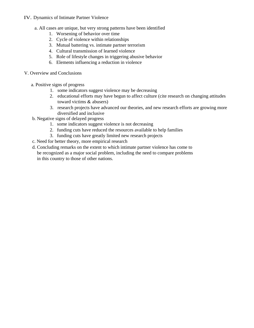#### IV*.* Dynamics of Intimate Partner Violence

- a. All cases are unique, but very strong patterns have been identified
	- 1. Worsening of behavior over time
	- 2. Cycle of violence within relationships
	- 3. Mutual battering vs. intimate partner terrorism
	- 4. Cultural transmission of learned violence
	- 5. Role of lifestyle changes in triggering abusive behavior
	- 6. Elements influencing a reduction in violence

#### V. Overview and Conclusions

- a. Positive signs of progress
	- 1. some indicators suggest violence may be decreasing
	- 2. educational efforts may have begun to affect culture (cite research on changing attitudes toward victims & abusers)
	- 3. research projects have advanced our theories, and new research efforts are growing more diversified and inclusive
- b. Negative signs of delayed progress
	- 1. some indicators suggest violence is not decreasing
	- 2. funding cuts have reduced the resources available to help families
	- 3. funding cuts have greatly limited new research projects
- c. Need for better theory, more empirical research
- d. Concluding remarks on the extent to which intimate partner violence has come to be recognized as a major social problem, including the need to compare problems in this country to those of other nations.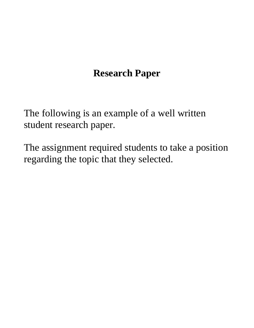# **Research Paper**

The following is an example of a well written student research paper.

The assignment required students to take a position regarding the topic that they selected.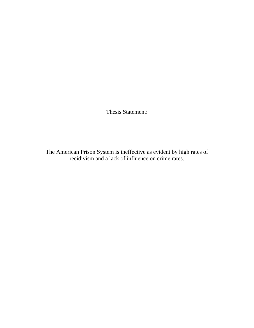Thesis Statement:

The American Prison System is ineffective as evident by high rates of recidivism and a lack of influence on crime rates.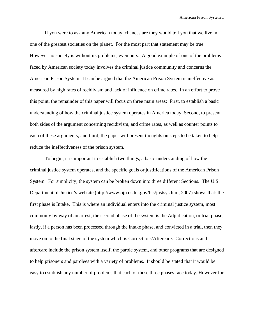If you were to ask any American today, chances are they would tell you that we live in one of the greatest societies on the planet. For the most part that statement may be true. However no society is without its problems, even ours. A good example of one of the problems faced by American society today involves the criminal justice community and concerns the American Prison System. It can be argued that the American Prison System is ineffective as measured by high rates of recidivism and lack of influence on crime rates. In an effort to prove this point, the remainder of this paper will focus on three main areas: First, to establish a basic understanding of how the criminal justice system operates in America today; Second, to present both sides of the argument concerning recidivism, and crime rates, as well as counter points to each of these arguments; and third, the paper will present thoughts on steps to be taken to help reduce the ineffectiveness of the prison system.

 To begin, it is important to establish two things, a basic understanding of how the criminal justice system operates, and the specific goals or justifications of the American Prison System. For simplicity, the system can be broken down into three different Sections. The U.S. Department of Justice's website (http://www.ojp.usdoj.gov/bjs/justsys.htm, 2007) shows that: the first phase is Intake. This is where an individual enters into the criminal justice system, most commonly by way of an arrest; the second phase of the system is the Adjudication, or trial phase; lastly, if a person has been processed through the intake phase, and convicted in a trial, then they move on to the final stage of the system which is Corrections/Aftercare. Corrections and aftercare include the prison system itself, the parole system, and other programs that are designed to help prisoners and parolees with a variety of problems. It should be stated that it would be easy to establish any number of problems that each of these three phases face today. However for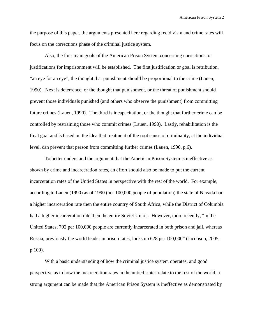the purpose of this paper, the arguments presented here regarding recidivism and crime rates will focus on the corrections phase of the criminal justice system.

 Also, the four main goals of the American Prison System concerning corrections, or justifications for imprisonment will be established. The first justification or goal is retribution, "an eye for an eye", the thought that punishment should be proportional to the crime (Lauen, 1990). Next is deterrence, or the thought that punishment, or the threat of punishment should prevent those individuals punished (and others who observe the punishment) from committing future crimes (Lauen, 1990). The third is incapacitation, or the thought that further crime can be controlled by restraining those who commit crimes (Lauen, 1990). Lastly, rehabilitation is the final goal and is based on the idea that treatment of the root cause of criminality, at the individual level, can prevent that person from committing further crimes (Lauen, 1990, p.6).

To better understand the argument that the American Prison System is ineffective as shown by crime and incarceration rates, an effort should also be made to put the current incarceration rates of the Untied States in perspective with the rest of the world. For example, according to Lauen (1990) as of 1990 (per 100,000 people of population) the state of Nevada had a higher incarceration rate then the entire country of South Africa, while the District of Columbia had a higher incarceration rate then the entire Soviet Union. However, more recently, "in the United States, 702 per 100,000 people are currently incarcerated in both prison and jail, whereas Russia, previously the world leader in prison rates, locks up 628 per 100,000" (Jacobson, 2005, p.109).

 With a basic understanding of how the criminal justice system operates, and good perspective as to how the incarceration rates in the untied states relate to the rest of the world, a strong argument can be made that the American Prison System is ineffective as demonstrated by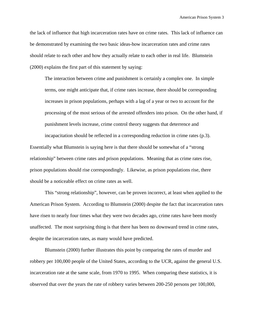the lack of influence that high incarceration rates have on crime rates. This lack of influence can be demonstrated by examining the two basic ideas-how incarceration rates and crime rates should relate to each other and how they actually relate to each other in real life. Blumstein (2000) explains the first part of this statement by saying:

The interaction between crime and punishment is certainly a complex one. In simple terms, one might anticipate that, if crime rates increase, there should be corresponding increases in prison populations, perhaps with a lag of a year or two to account for the processing of the most serious of the arrested offenders into prison. On the other hand, if punishment levels increase, crime control theory suggests that deterrence and

incapacitation should be reflected in a corresponding reduction in crime rates (p.3). Essentially what Blumstein is saying here is that there should be somewhat of a "strong relationship" between crime rates and prison populations. Meaning that as crime rates rise, prison populations should rise correspondingly. Likewise, as prison populations rise, there should be a noticeable effect on crime rates as well.

 This "strong relationship", however, can be proven incorrect, at least when applied to the American Prison System. According to Blumstein (2000) despite the fact that incarceration rates have risen to nearly four times what they were two decades ago, crime rates have been mostly unaffected. The most surprising thing is that there has been no downward trend in crime rates, despite the incarceration rates, as many would have predicted.

 Blumstein (2000) further illustrates this point by comparing the rates of murder and robbery per 100,000 people of the United States, according to the UCR, against the general U.S. incarceration rate at the same scale, from 1970 to 1995. When comparing these statistics, it is observed that over the years the rate of robbery varies between 200-250 persons per 100,000,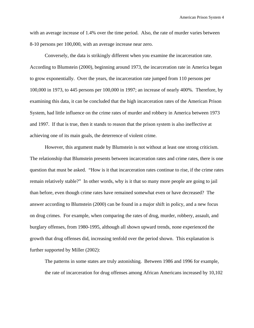with an average increase of 1.4% over the time period. Also, the rate of murder varies between 8-10 persons per 100,000, with an average increase near zero.

Conversely, the data is strikingly different when you examine the incarceration rate. According to Blumstein (2000), beginning around 1973, the incarceration rate in America began to grow exponentially. Over the years, the incarceration rate jumped from 110 persons per 100,000 in 1973, to 445 persons per 100,000 in 1997; an increase of nearly 400%. Therefore, by examining this data, it can be concluded that the high incarceration rates of the American Prison System, had little influence on the crime rates of murder and robbery in America between 1973 and 1997. If that is true, then it stands to reason that the prison system is also ineffective at achieving one of its main goals, the deterrence of violent crime.

However, this argument made by Blumstein is not without at least one strong criticism. The relationship that Blumstein presents between incarceration rates and crime rates, there is one question that must be asked. "How is it that incarceration rates continue to rise, if the crime rates remain relatively stable?" In other words, why is it that so many more people are going to jail than before, even though crime rates have remained somewhat even or have decreased? The answer according to Blumstein (2000) can be found in a major shift in policy, and a new focus on drug crimes. For example, when comparing the rates of drug, murder, robbery, assault, and burglary offenses, from 1980-1995, although all shown upward trends, none experienced the growth that drug offenses did, increasing tenfold over the period shown. This explanation is further supported by Miller (2002):

The patterns in some states are truly astonishing. Between 1986 and 1996 for example, the rate of incarceration for drug offenses among African Americans increased by 10,102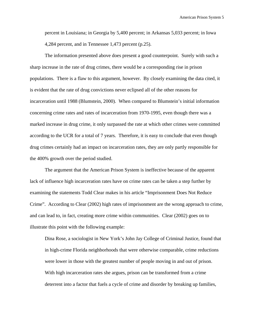percent in Louisiana; in Georgia by 5,400 percent; in Arkansas 5,033 percent; in Iowa 4,284 percent, and in Tennessee 1,473 percent (p.25).

The information presented above does present a good counterpoint. Surely with such a sharp increase in the rate of drug crimes, there would be a corresponding rise in prison populations. There is a flaw to this argument, however. By closely examining the data cited, it is evident that the rate of drug convictions never eclipsed all of the other reasons for incarceration until 1988 (Blumstein, 2000). When compared to Blumstein's initial information concerning crime rates and rates of incarceration from 1970-1995, even though there was a marked increase in drug crime, it only surpassed the rate at which other crimes were committed according to the UCR for a total of 7 years. Therefore, it is easy to conclude that even though drug crimes certainly had an impact on incarceration rates, they are only partly responsible for the 400% growth over the period studied.

The argument that the American Prison System is ineffective because of the apparent lack of influence high incarceration rates have on crime rates can be taken a step further by examining the statements Todd Clear makes in his article "Imprisonment Does Not Reduce Crime". According to Clear (2002) high rates of imprisonment are the wrong approach to crime, and can lead to, in fact, creating more crime within communities. Clear (2002) goes on to illustrate this point with the following example:

Dina Rose, a sociologist in New York's John Jay College of Criminal Justice, found that in high-crime Florida neighborhoods that were otherwise comparable, crime reductions were lower in those with the greatest number of people moving in and out of prison. With high incarceration rates she argues, prison can be transformed from a crime deterrent into a factor that fuels a cycle of crime and disorder by breaking up families,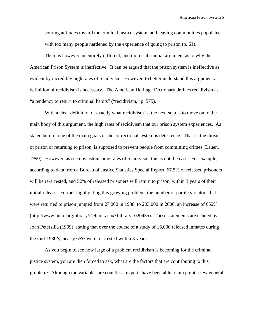souring attitudes toward the criminal justice system, and leaving communities populated with too many people hardened by the experience of going to prison (p. 61).

There is however an entirely different, and more substantial argument as to why the American Prison System is ineffective. It can be argued that the prison system is ineffective as evident by incredibly high rates of recidivism. However, to better understand this argument a definition of recidivism is necessary. The American Heritage Dictionary defines recidivism as, "a tendency to return to criminal habits" ("recidivism," p. 575).

With a clear definition of exactly what recidivism is, the next step is to move on to the main body of this argument, the high rates of recidivism that our prison system experiences. As stated before, one of the main goals of the correctional system is deterrence. That is, the threat of prison or returning to prison, is supposed to prevent people from committing crimes (Lauen, 1990). However, as seen by astonishing rates of recidivism, this is not the case. For example, according to data from a Bureau of Justice Statistics Special Report, 67.5% of released prisoners will be re-arrested, and 52% of released prisoners will return to prison, within 3 years of their initial release. Further highlighting this growing problem, the number of parole violators that were returned to prison jumped from 27,000 in 1980, to 203,000 in 2000, an increase of 652% (http://www.nicic.org/library/Default.aspx?Library=020435). These statements are echoed by Joan Petersilia (1999), stating that over the course of a study of 16,000 released inmates during the mid-1980's, nearly 65% were rearrested within 3 years.

As you begin to see how large of a problem recidivism is becoming for the criminal justice system, you are then forced to ask, what are the factors that are contributing to this problem? Although the variables are countless, experts have been able to pin point a few general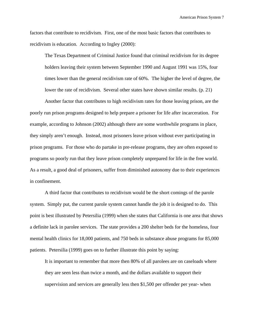factors that contribute to recidivism. First, one of the most basic factors that contributes to recidivism is education. According to Ingley (2000):

The Texas Department of Criminal Justice found that criminal recidivism for its degree holders leaving their system between September 1990 and August 1991 was 15%, four times lower than the general recidivism rate of 60%. The higher the level of degree, the lower the rate of recidivism. Several other states have shown similar results. (p. 21)

Another factor that contributes to high recidivism rates for those leaving prison, are the poorly run prison programs designed to help prepare a prisoner for life after incarceration. For example, according to Johnson (2002) although there are some worthwhile programs in place, they simply aren't enough. Instead, most prisoners leave prison without ever participating in prison programs. For those who do partake in pre-release programs, they are often exposed to programs so poorly run that they leave prison completely unprepared for life in the free world. As a result, a good deal of prisoners, suffer from diminished autonomy due to their experiences in confinement.

A third factor that contributes to recidivism would be the short comings of the parole system. Simply put, the current parole system cannot handle the job it is designed to do. This point is best illustrated by Petersilia (1999) when she states that California is one area that shows a definite lack in parolee services. The state provides a 200 shelter beds for the homeless, four mental health clinics for 18,000 patients, and 750 beds in substance abuse programs for 85,000 patients. Petersilia (1999) goes on to further illustrate this point by saying:

It is important to remember that more then 80% of all parolees are on caseloads where they are seen less than twice a month, and the dollars available to support their supervision and services are generally less then \$1,500 per offender per year- when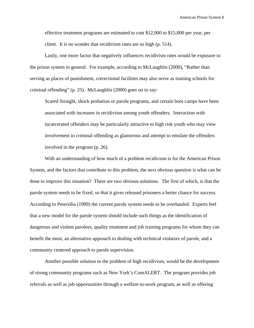effective treatment programs are estimated to cost \$12,000 to \$15,000 per year, per client. It is no wonder that recidivism rates are so high (p. 514).

Lastly, one more factor that negatively influences recidivism rates would be exposure to the prison system in general. For example, according to McLaughlin (2000), "Rather than serving as places of punishment, correctional facilities may also serve as training schools for criminal offending" (p. 25). McLaughlin (2000) goes on to say:

Scared Straight, shock probation or parole programs, and certain boot camps have been associated with increases in recidivism among youth offenders. Interaction with incarcerated offenders may be particularly attractive to high risk youth who may view involvement in criminal offending as glamorous and attempt to emulate the offenders involved in the program (p. 26).

With an understanding of how much of a problem recidivism is for the American Prison System, and the factors that contribute to this problem, the next obvious question is what can be done to improve this situation? There are two obvious solutions. The first of which, is that the parole system needs to be fixed, so that it gives released prisoners a better chance for success. According to Petersilia (1999) the current parole system needs to be overhauled. Experts feel that a new model for the parole system should include such things as the identification of dangerous and violent parolees, quality treatment and job training programs for whom they can benefit the most, an alternative approach to dealing with technical violators of parole, and a community centered approach to parole supervision.

Another possible solution to the problem of high recidivism, would be the development of strong community programs such as New York's ComALERT. The program provides job referrals as well as job opportunities through a welfare-to-work program, as well as offering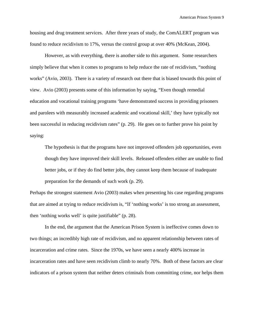housing and drug treatment services. After three years of study, the ComALERT program was found to reduce recidivism to 17%, versus the control group at over 40% (McKean, 2004).

However, as with everything, there is another side to this argument. Some researchers simply believe that when it comes to programs to help reduce the rate of recidivism, "nothing works" (Avio, 2003). There is a variety of research out there that is biased towards this point of view. Avio (2003) presents some of this information by saying, "Even though remedial education and vocational training programs 'have demonstrated success in providing prisoners and parolees with measurably increased academic and vocational skill,' they have typically not been successful in reducing recidivism rates" (p. 29). He goes on to further prove his point by saying:

The hypothesis is that the programs have not improved offenders job opportunities, even though they have improved their skill levels. Released offenders either are unable to find better jobs, or if they do find better jobs, they cannot keep them because of inadequate preparation for the demands of such work (p. 29).

Perhaps the strongest statement Avio (2003) makes when presenting his case regarding programs that are aimed at trying to reduce recidivism is, "If 'nothing works' is too strong an assessment, then 'nothing works well' is quite justifiable" (p. 28).

 In the end, the argument that the American Prison System is ineffective comes down to two things; an incredibly high rate of recidivism, and no apparent relationship between rates of incarceration and crime rates. Since the 1970s, we have seen a nearly 400% increase in incarceration rates and have seen recidivism climb to nearly 70%. Both of these factors are clear indicators of a prison system that neither deters criminals from committing crime, nor helps them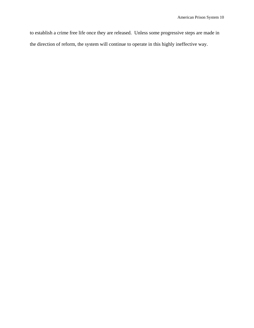to establish a crime free life once they are released. Unless some progressive steps are made in the direction of reform, the system will continue to operate in this highly ineffective way.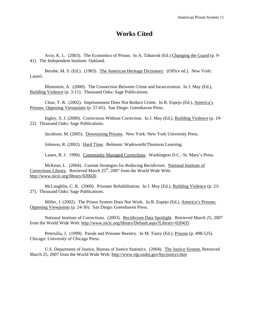# **Works Cited**

Avio, K. L. (2003). The Economics of Prison. In A. Tabarrok (Ed.) Changing the Guard (p. 9- 41). The Independent Institute: Oakland.

 Berube, M. S. (Ed.). (1983). The American Heritage Dictionary. (Office ed.). New York: Laurel.

 Blumstein, A. (2000). The Connection Between Crime and Incarceration. In J. May (Ed.), Building Violence (p. 3-11). Thousand Oaks: Sage Publications.

Clear, T. R. (2002). Imprisonment Does Not Reduce Crime. In R. Espejo (Ed.), America's Prisons: Opposing Viewpoints (p. 57-65). San Diego: Greenhaven Press.

 Ingley, S. J. (2000). Corrections Without Correction. In J. May (Ed.), Building Violence (p. 19- 22). Thousand Oaks: Sage Publications.

Jacobson, M. (2005). Downsizing Prisons. New York: New York University Press.

Johnson, R. (2002). Hard Time. Belmont: Wadsworth/Thomson Learning.

Lauen, R. J. 1990). Community Managed Corrections. Washington D.C.: St. Mary's Press.

 McKean, L. (2004). Current Strategies for Reducing Recidivism. National Institute of Corrections Library. Retrieved March  $25<sup>th</sup>$ , 2007 from the World Wide Web: http://www.nicic.org/library/020026

McLaughlin, C. R. (2000). Prisoner Rehabilitation. In J. May (Ed.), Building Violence (p. 23-27). Thousand Oaks: Sage Publications.

 Miller, J. (2002). The Prison System Does Not Work. In R. Espejo (Ed.), America's Prisons: Opposing Viewpoints (p. 24-30). San Diego: Greenhaven Press.

National Institute of Corrections. (2003). Recidivism Data Spotlight. Retrieved March 25, 2007 from the World Wide Web: http://www.nicic.org/library/Default.aspx?Library=020435

 Petersilia, J. (1999). Parole and Prisoner Reentry. In M. Tonry (Ed.), Prisons (p. 498-525). Chicago: University of Chicago Press.

U.S. Department of Justice, Bureau of Justice Statistics. (2004). The Justice System. Retrieved March 25, 2007 from the World Wide Web: http://www.ojp.usdoj.gov/bjs/justsys.htm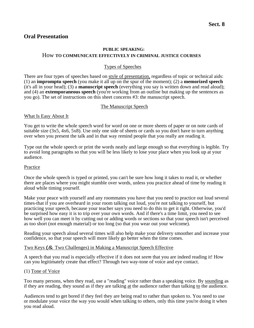### **Oral Presentation**

#### **PUBLIC SPEAKING:**  How **TO COMMUNICATE EFFECTIVELY IN CRIMINAL JUSTICE COURSES**

#### Types of Speeches

There are four types of speeches based on style of presentation, regardless of topic or technical aids: (1) an **impromptu speech** (you make it all up on the spur of the moment); (2) a **memorized speech**  (it's all in your head); (3) a **manuscript speech** (everything you say is written down and read aloud); and (4) an **extemporaneous speech** (you're working from an outline but making up the sentences as you go). The set of instructions on this sheet concerns #3: the manuscript speech.

#### The Manuscript Speech

#### What Is Easy About It

You get to write the whole speech word for word on one or more sheets of paper or on note cards of suitable size (3x5, 4x6, 5x8). Use only one side of sheets or cards so you don't have to turn anything over when you present the talk and in that way remind people that you really are reading it.

Type out the whole speech or print the words neatly and large enough so that everything is legible. Try to avoid long paragraphs so that you will be less likely to lose your place when you look up at your audience.

#### Practice

Once the whole speech is typed or printed, you can't be sure how long it takes to read it, or whether there are places where you might stumble over words, unless you practice ahead of time by reading it aloud while timing yourself.

Make your peace with yourself and any roommates you have that you need to practice out loud several times-that if you are overheard in your room talking out loud, you're not talking to yourself, but practicing your speech, because your teacher says you need to do this to get it right. Otherwise, you'd be surprised how easy it is to trip over your own words. And if there's a time limit, you need to see how well you can meet it by cutting out or adding words or sections so that your speech isn't perceived as too short (not enough material) or too long (so that you wear out your welcome).

Reading your speech aloud several times will also help make your delivery smoother and increase your confidence, so that your speech will more likely go better when the time comes.

#### Two Keys (& Two Challenges) in Making a Manuscript Speech Effective

A speech that you read is especially effective if it does not *seem* that you are indeed reading it! How can you legitimately create that effect? Through two way-tone of voice and eye contact.

#### (1) Tone of Voice

Too many persons, when they read, use a "reading" voice rather than a speaking voice. By sounding as if they are reading, they sound as if they are talking at the audience rather than talking to the audience.

Audiences tend to get bored if they feel they are being read to rather than spoken to. You need to use or modulate your voice the way you would when talking to others, only this time you're doing it when you read aloud.